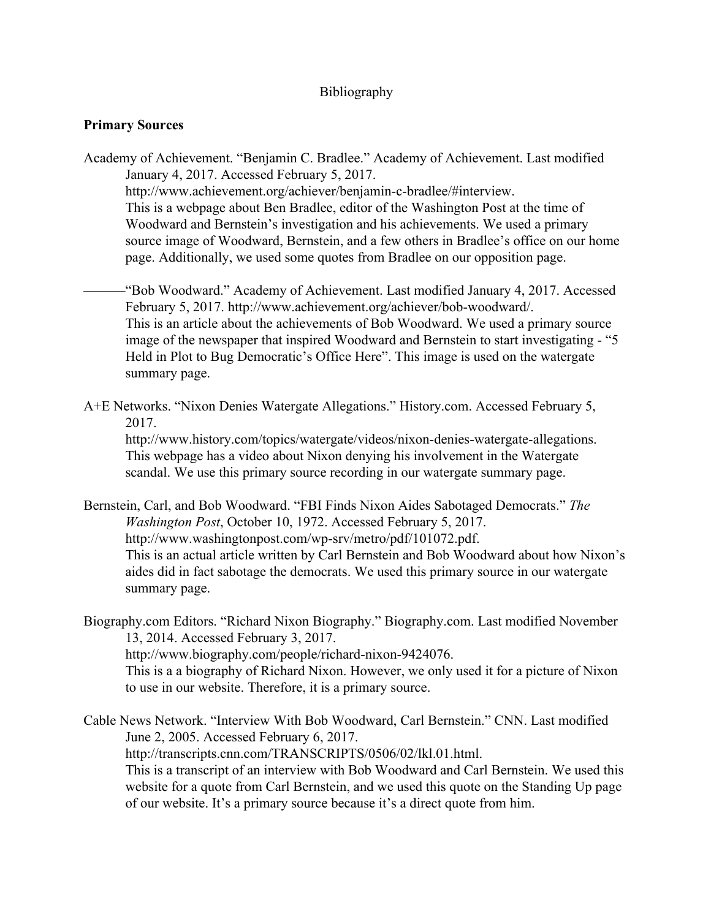## Bibliography

## **Primary Sources**

Academy of Achievement. "Benjamin C. Bradlee." Academy of Achievement. Last modified January 4, 2017. Accessed February 5, 2017. http://www.achievement.org/achiever/benjamin-c-bradlee/#interview. This is a webpage about Ben Bradlee, editor of the Washington Post at the time of Woodward and Bernstein's investigation and his achievements. We used a primary source image of Woodward, Bernstein, and a few others in Bradlee's office on our home page. Additionally, we used some quotes from Bradlee on our opposition page.

———"Bob Woodward." Academy of Achievement. Last modified January 4, 2017. Accessed February 5, 2017. http://www.achievement.org/achiever/bob-woodward/. This is an article about the achievements of Bob Woodward. We used a primary source image of the newspaper that inspired Woodward and Bernstein to start investigating - "5 Held in Plot to Bug Democratic's Office Here". This image is used on the watergate summary page.

A+E Networks. "Nixon Denies Watergate Allegations." History.com. Accessed February 5, 2017.

http://www.history.com/topics/watergate/videos/nixon-denies-watergate-allegations. This webpage has a video about Nixon denying his involvement in the Watergate scandal. We use this primary source recording in our watergate summary page.

Bernstein, Carl, and Bob Woodward. "FBI Finds Nixon Aides Sabotaged Democrats." *The Washington Post*, October 10, 1972. Accessed February 5, 2017. http://www.washingtonpost.com/wp-srv/metro/pdf/101072.pdf. This is an actual article written by Carl Bernstein and Bob Woodward about how Nixon's aides did in fact sabotage the democrats. We used this primary source in our watergate summary page.

Biography.com Editors. "Richard Nixon Biography." Biography.com. Last modified November 13, 2014. Accessed February 3, 2017. http://www.biography.com/people/richard-nixon-9424076. This is a a biography of Richard Nixon. However, we only used it for a picture of Nixon to use in our website. Therefore, it is a primary source.

Cable News Network. "Interview With Bob Woodward, Carl Bernstein." CNN. Last modified June 2, 2005. Accessed February 6, 2017. http://transcripts.cnn.com/TRANSCRIPTS/0506/02/lkl.01.html. This is a transcript of an interview with Bob Woodward and Carl Bernstein. We used this website for a quote from Carl Bernstein, and we used this quote on the Standing Up page of our website. It's a primary source because it's a direct quote from him.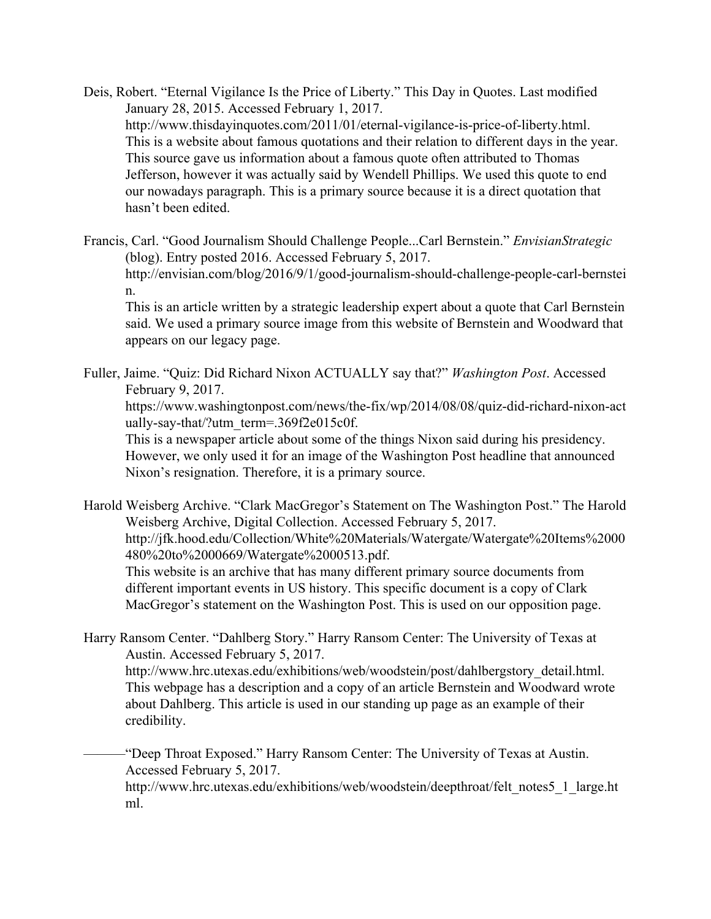- Deis, Robert. "Eternal Vigilance Is the Price of Liberty." This Day in Quotes. Last modified January 28, 2015. Accessed February 1, 2017. http://www.thisdayinquotes.com/2011/01/eternal-vigilance-is-price-of-liberty.html. This is a website about famous quotations and their relation to different days in the year. This source gave us information about a famous quote often attributed to Thomas Jefferson, however it was actually said by Wendell Phillips. We used this quote to end our nowadays paragraph. This is a primary source because it is a direct quotation that hasn't been edited.
- Francis, Carl. "Good Journalism Should Challenge People...Carl Bernstein." *EnvisianStrategic* (blog). Entry posted 2016. Accessed February 5, 2017. http://envisian.com/blog/2016/9/1/good-journalism-should-challenge-people-carl-bernstei n.

This is an article written by a strategic leadership expert about a quote that Carl Bernstein said. We used a primary source image from this website of Bernstein and Woodward that appears on our legacy page.

Fuller, Jaime. "Quiz: Did Richard Nixon ACTUALLY say that?" *Washington Post*. Accessed February 9, 2017.

https://www.washingtonpost.com/news/the-fix/wp/2014/08/08/quiz-did-richard-nixon-act ually-say-that/?utm\_term=.369f2e015c0f.

This is a newspaper article about some of the things Nixon said during his presidency. However, we only used it for an image of the Washington Post headline that announced Nixon's resignation. Therefore, it is a primary source.

Harold Weisberg Archive. "Clark MacGregor's Statement on The Washington Post." The Harold Weisberg Archive, Digital Collection. Accessed February 5, 2017. http://jfk.hood.edu/Collection/White%20Materials/Watergate/Watergate%20Items%2000 480%20to%2000669/Watergate%2000513.pdf. This website is an archive that has many different primary source documents from

different important events in US history. This specific document is a copy of Clark MacGregor's statement on the Washington Post. This is used on our opposition page.

Harry Ransom Center. "Dahlberg Story." Harry Ransom Center: The University of Texas at Austin. Accessed February 5, 2017.

http://www.hrc.utexas.edu/exhibitions/web/woodstein/post/dahlbergstory\_detail.html. This webpage has a description and a copy of an article Bernstein and Woodward wrote about Dahlberg. This article is used in our standing up page as an example of their credibility.

-"Deep Throat Exposed." Harry Ransom Center: The University of Texas at Austin. Accessed February 5, 2017.

http://www.hrc.utexas.edu/exhibitions/web/woodstein/deepthroat/felt\_notes5\_1\_large.ht ml.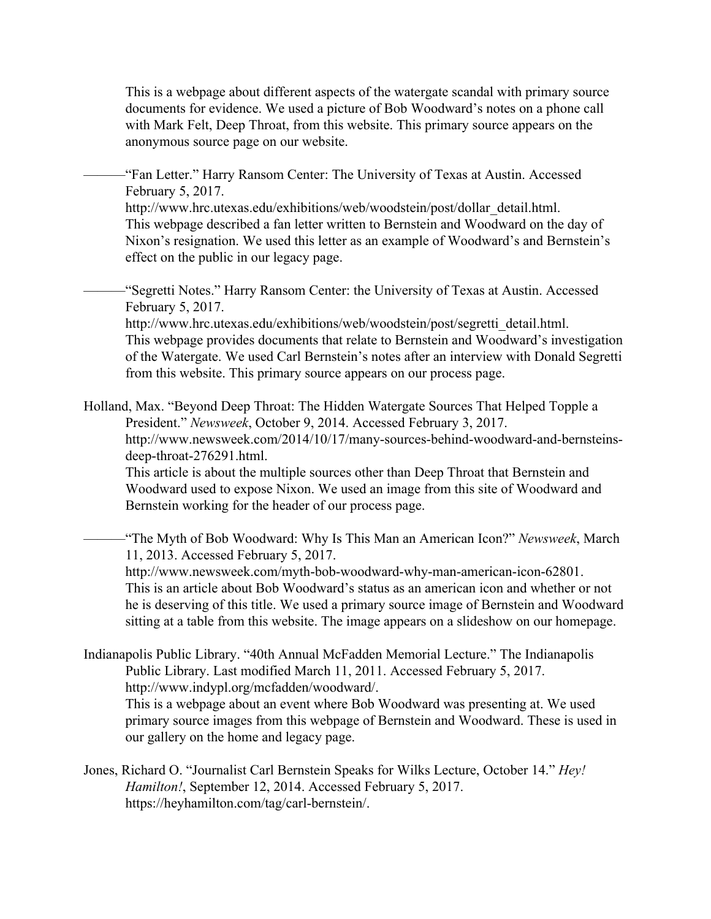This is a webpage about different aspects of the watergate scandal with primary source documents for evidence. We used a picture of Bob Woodward's notes on a phone call with Mark Felt, Deep Throat, from this website. This primary source appears on the anonymous source page on our website.

-"Fan Letter." Harry Ransom Center: The University of Texas at Austin. Accessed February 5, 2017.

http://www.hrc.utexas.edu/exhibitions/web/woodstein/post/dollar\_detail.html. This webpage described a fan letter written to Bernstein and Woodward on the day of Nixon's resignation. We used this letter as an example of Woodward's and Bernstein's effect on the public in our legacy page.

-"Segretti Notes." Harry Ransom Center: the University of Texas at Austin. Accessed February 5, 2017.

http://www.hrc.utexas.edu/exhibitions/web/woodstein/post/segretti\_detail.html. This webpage provides documents that relate to Bernstein and Woodward's investigation of the Watergate. We used Carl Bernstein's notes after an interview with Donald Segretti from this website. This primary source appears on our process page.

Holland, Max. "Beyond Deep Throat: The Hidden Watergate Sources That Helped Topple a President." *Newsweek*, October 9, 2014. Accessed February 3, 2017. http://www.newsweek.com/2014/10/17/many-sources-behind-woodward-and-bernsteinsdeep-throat-276291.html.

This article is about the multiple sources other than Deep Throat that Bernstein and Woodward used to expose Nixon. We used an image from this site of Woodward and Bernstein working for the header of our process page.

———"The Myth of Bob Woodward: Why Is This Man an American Icon?" *Newsweek*, March 11, 2013. Accessed February 5, 2017.

http://www.newsweek.com/myth-bob-woodward-why-man-american-icon-62801. This is an article about Bob Woodward's status as an american icon and whether or not he is deserving of this title. We used a primary source image of Bernstein and Woodward sitting at a table from this website. The image appears on a slideshow on our homepage.

Indianapolis Public Library. "40th Annual McFadden Memorial Lecture." The Indianapolis Public Library. Last modified March 11, 2011. Accessed February 5, 2017. http://www.indypl.org/mcfadden/woodward/. This is a webpage about an event where Bob Woodward was presenting at. We used primary source images from this webpage of Bernstein and Woodward. These is used in our gallery on the home and legacy page.

Jones, Richard O. "Journalist Carl Bernstein Speaks for Wilks Lecture, October 14." *Hey! Hamilton!*, September 12, 2014. Accessed February 5, 2017. https://heyhamilton.com/tag/carl-bernstein/.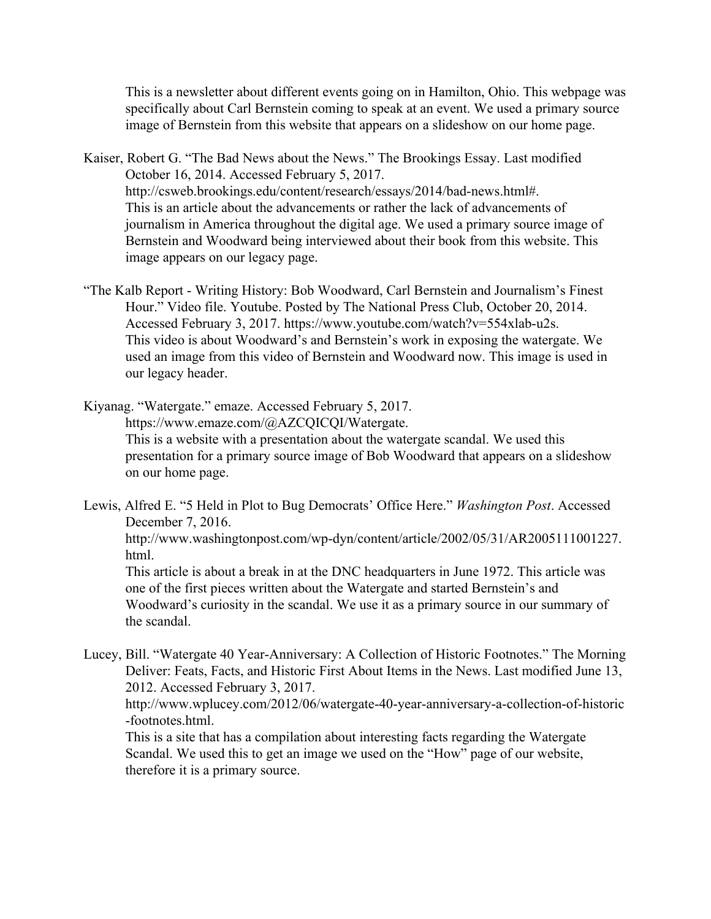This is a newsletter about different events going on in Hamilton, Ohio. This webpage was specifically about Carl Bernstein coming to speak at an event. We used a primary source image of Bernstein from this website that appears on a slideshow on our home page.

- Kaiser, Robert G. "The Bad News about the News." The Brookings Essay. Last modified October 16, 2014. Accessed February 5, 2017. http://csweb.brookings.edu/content/research/essays/2014/bad-news.html#. This is an article about the advancements or rather the lack of advancements of journalism in America throughout the digital age. We used a primary source image of Bernstein and Woodward being interviewed about their book from this website. This image appears on our legacy page.
- "The Kalb Report Writing History: Bob Woodward, Carl Bernstein and Journalism's Finest Hour." Video file. Youtube. Posted by The National Press Club, October 20, 2014. Accessed February 3, 2017. https://www.youtube.com/watch?v=554xlab-u2s. This video is about Woodward's and Bernstein's work in exposing the watergate. We used an image from this video of Bernstein and Woodward now. This image is used in our legacy header.

Kiyanag. "Watergate." emaze. Accessed February 5, 2017. https://www.emaze.com/@AZCQICQI/Watergate. This is a website with a presentation about the watergate scandal. We used this presentation for a primary source image of Bob Woodward that appears on a slideshow on our home page.

Lewis, Alfred E. "5 Held in Plot to Bug Democrats' Office Here." *Washington Post*. Accessed December 7, 2016.

http://www.washingtonpost.com/wp-dyn/content/article/2002/05/31/AR2005111001227. html.

This article is about a break in at the DNC headquarters in June 1972. This article was one of the first pieces written about the Watergate and started Bernstein's and Woodward's curiosity in the scandal. We use it as a primary source in our summary of the scandal.

Lucey, Bill. "Watergate 40 Year-Anniversary: A Collection of Historic Footnotes." The Morning Deliver: Feats, Facts, and Historic First About Items in the News. Last modified June 13, 2012. Accessed February 3, 2017.

http://www.wplucey.com/2012/06/watergate-40-year-anniversary-a-collection-of-historic -footnotes.html.

This is a site that has a compilation about interesting facts regarding the Watergate Scandal. We used this to get an image we used on the "How" page of our website, therefore it is a primary source.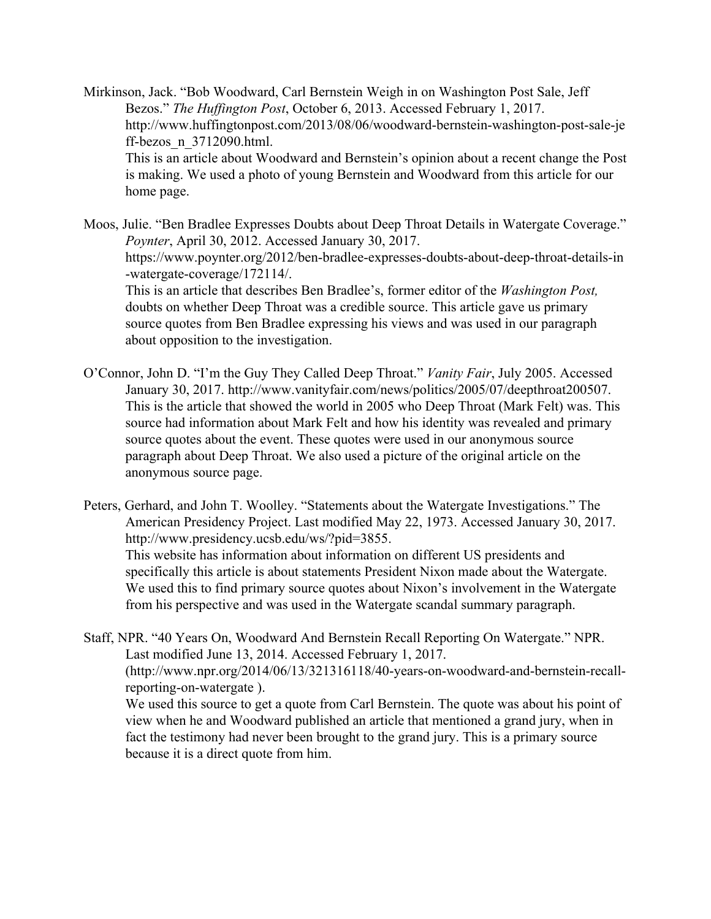Mirkinson, Jack. "Bob Woodward, Carl Bernstein Weigh in on Washington Post Sale, Jeff Bezos." *The Huffington Post*, October 6, 2013. Accessed February 1, 2017. http://www.huffingtonpost.com/2013/08/06/woodward-bernstein-washington-post-sale-je ff-bezos\_n\_3712090.html. This is an article about Woodward and Bernstein's opinion about a recent change the Post is making. We used a photo of young Bernstein and Woodward from this article for our home page.

Moos, Julie. "Ben Bradlee Expresses Doubts about Deep Throat Details in Watergate Coverage." *Poynter*, April 30, 2012. Accessed January 30, 2017. https://www.poynter.org/2012/ben-bradlee-expresses-doubts-about-deep-throat-details-in -watergate-coverage/172114/. This is an article that describes Ben Bradlee's, former editor of the *Washington Post,* doubts on whether Deep Throat was a credible source. This article gave us primary

source quotes from Ben Bradlee expressing his views and was used in our paragraph about opposition to the investigation.

- O'Connor, John D. "I'm the Guy They Called Deep Throat." *Vanity Fair*, July 2005. Accessed January 30, 2017. http://www.vanityfair.com/news/politics/2005/07/deepthroat200507. This is the article that showed the world in 2005 who Deep Throat (Mark Felt) was. This source had information about Mark Felt and how his identity was revealed and primary source quotes about the event. These quotes were used in our anonymous source paragraph about Deep Throat. We also used a picture of the original article on the anonymous source page.
- Peters, Gerhard, and John T. Woolley. "Statements about the Watergate Investigations." The American Presidency Project. Last modified May 22, 1973. Accessed January 30, 2017. http://www.presidency.ucsb.edu/ws/?pid=3855. This website has information about information on different US presidents and specifically this article is about statements President Nixon made about the Watergate. We used this to find primary source quotes about Nixon's involvement in the Watergate from his perspective and was used in the Watergate scandal summary paragraph.

Staff, NPR. "40 Years On, Woodward And Bernstein Recall Reporting On Watergate." NPR. Last modified June 13, 2014. Accessed February 1, 2017. (http://www.npr.org/2014/06/13/321316118/40-years-on-woodward-and-bernstein-recallreporting-on-watergate ). We used this source to get a quote from Carl Bernstein. The quote was about his point of view when he and Woodward published an article that mentioned a grand jury, when in fact the testimony had never been brought to the grand jury. This is a primary source

because it is a direct quote from him.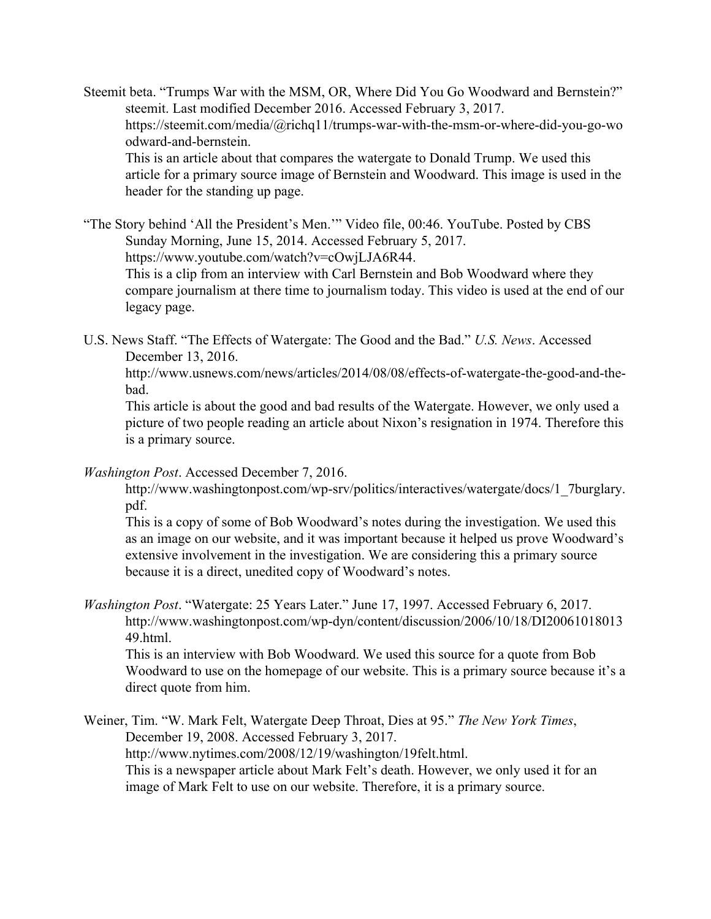Steemit beta. "Trumps War with the MSM, OR, Where Did You Go Woodward and Bernstein?" steemit. Last modified December 2016. Accessed February 3, 2017. https://steemit.com/media/@richq11/trumps-war-with-the-msm-or-where-did-you-go-wo odward-and-bernstein. This is an article about that compares the watergate to Donald Trump. We used this

article for a primary source image of Bernstein and Woodward. This image is used in the header for the standing up page.

"The Story behind 'All the President's Men.'" Video file, 00:46. YouTube. Posted by CBS Sunday Morning, June 15, 2014. Accessed February 5, 2017. https://www.youtube.com/watch?v=cOwjLJA6R44. This is a clip from an interview with Carl Bernstein and Bob Woodward where they compare journalism at there time to journalism today. This video is used at the end of our legacy page.

U.S. News Staff. "The Effects of Watergate: The Good and the Bad." *U.S. News*. Accessed December 13, 2016.

http://www.usnews.com/news/articles/2014/08/08/effects-of-watergate-the-good-and-thebad.

This article is about the good and bad results of the Watergate. However, we only used a picture of two people reading an article about Nixon's resignation in 1974. Therefore this is a primary source.

*Washington Post*. Accessed December 7, 2016.

http://www.washingtonpost.com/wp-srv/politics/interactives/watergate/docs/1\_7burglary. pdf.

This is a copy of some of Bob Woodward's notes during the investigation. We used this as an image on our website, and it was important because it helped us prove Woodward's extensive involvement in the investigation. We are considering this a primary source because it is a direct, unedited copy of Woodward's notes.

*Washington Post*. "Watergate: 25 Years Later." June 17, 1997. Accessed February 6, 2017. http://www.washingtonpost.com/wp-dyn/content/discussion/2006/10/18/DI20061018013 49.html.

This is an interview with Bob Woodward. We used this source for a quote from Bob Woodward to use on the homepage of our website. This is a primary source because it's a direct quote from him.

Weiner, Tim. "W. Mark Felt, Watergate Deep Throat, Dies at 95." *The New York Times*, December 19, 2008. Accessed February 3, 2017. http://www.nytimes.com/2008/12/19/washington/19felt.html. This is a newspaper article about Mark Felt's death. However, we only used it for an image of Mark Felt to use on our website. Therefore, it is a primary source.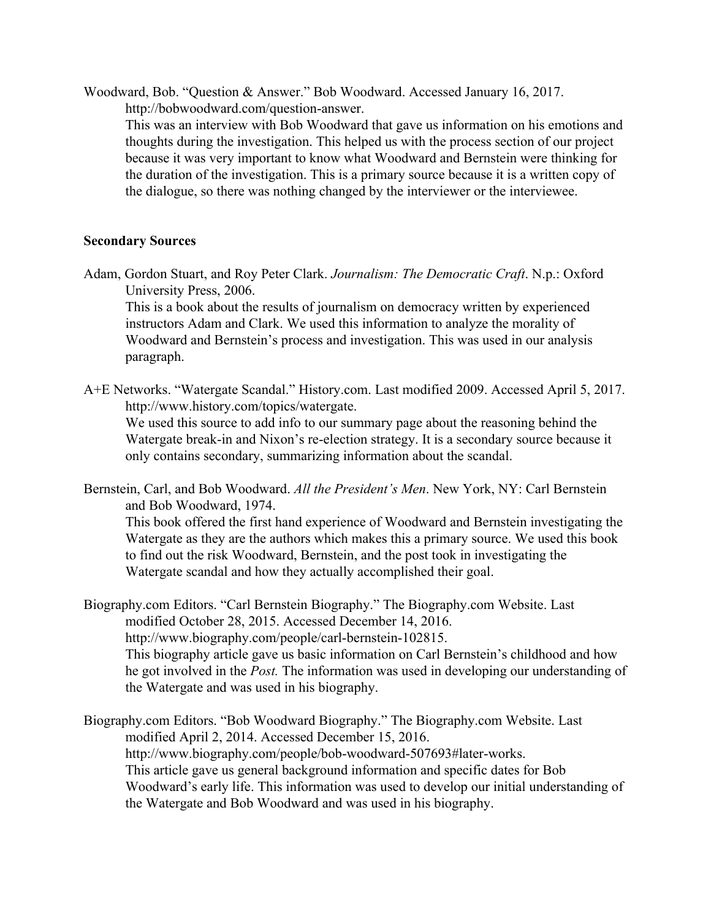Woodward, Bob. "Question & Answer." Bob Woodward. Accessed January 16, 2017. http://bobwoodward.com/question-answer.

This was an interview with Bob Woodward that gave us information on his emotions and thoughts during the investigation. This helped us with the process section of our project because it was very important to know what Woodward and Bernstein were thinking for the duration of the investigation. This is a primary source because it is a written copy of the dialogue, so there was nothing changed by the interviewer or the interviewee.

## **Secondary Sources**

Adam, Gordon Stuart, and Roy Peter Clark. *Journalism: The Democratic Craft*. N.p.: Oxford University Press, 2006.

This is a book about the results of journalism on democracy written by experienced instructors Adam and Clark. We used this information to analyze the morality of Woodward and Bernstein's process and investigation. This was used in our analysis paragraph.

A+E Networks. "Watergate Scandal." History.com. Last modified 2009. Accessed April 5, 2017. http://www.history.com/topics/watergate.

We used this source to add info to our summary page about the reasoning behind the Watergate break-in and Nixon's re-election strategy. It is a secondary source because it only contains secondary, summarizing information about the scandal.

Bernstein, Carl, and Bob Woodward. *All the President's Men*. New York, NY: Carl Bernstein and Bob Woodward, 1974.

This book offered the first hand experience of Woodward and Bernstein investigating the Watergate as they are the authors which makes this a primary source. We used this book to find out the risk Woodward, Bernstein, and the post took in investigating the Watergate scandal and how they actually accomplished their goal.

Biography.com Editors. "Carl Bernstein Biography." The Biography.com Website. Last modified October 28, 2015. Accessed December 14, 2016. http://www.biography.com/people/carl-bernstein-102815. This biography article gave us basic information on Carl Bernstein's childhood and how he got involved in the *Post.* The information was used in developing our understanding of the Watergate and was used in his biography.

Biography.com Editors. "Bob Woodward Biography." The Biography.com Website. Last modified April 2, 2014. Accessed December 15, 2016. http://www.biography.com/people/bob-woodward-507693#later-works. This article gave us general background information and specific dates for Bob Woodward's early life. This information was used to develop our initial understanding of the Watergate and Bob Woodward and was used in his biography.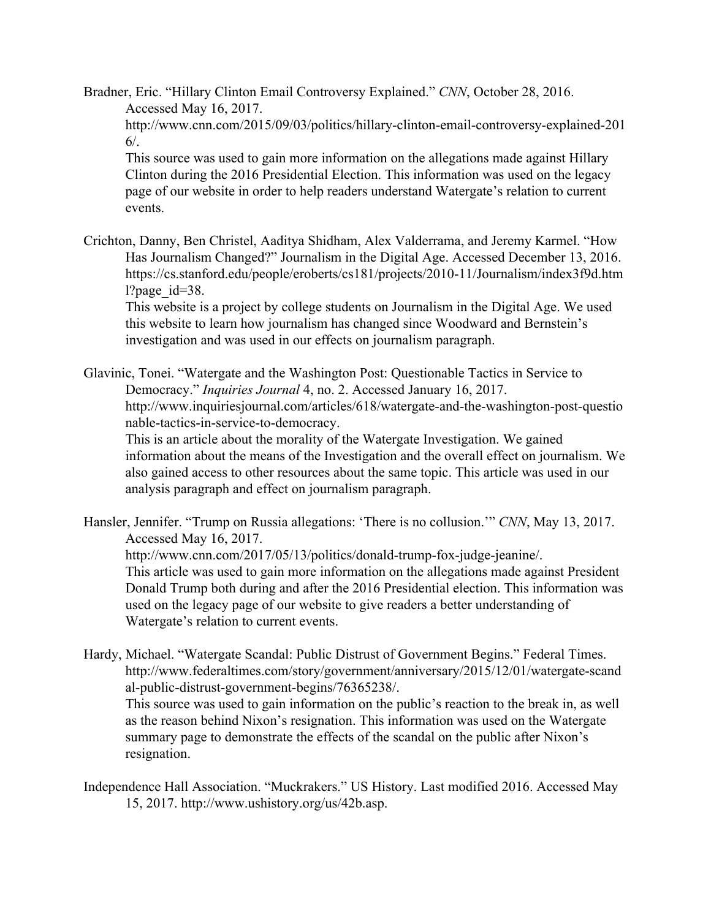Bradner, Eric. "Hillary Clinton Email Controversy Explained." *CNN*, October 28, 2016. Accessed May 16, 2017.

http://www.cnn.com/2015/09/03/politics/hillary-clinton-email-controversy-explained-201 6/.

This source was used to gain more information on the allegations made against Hillary Clinton during the 2016 Presidential Election. This information was used on the legacy page of our website in order to help readers understand Watergate's relation to current events.

Crichton, Danny, Ben Christel, Aaditya Shidham, Alex Valderrama, and Jeremy Karmel. "How Has Journalism Changed?" Journalism in the Digital Age. Accessed December 13, 2016. https://cs.stanford.edu/people/eroberts/cs181/projects/2010-11/Journalism/index3f9d.htm l?page $id=38$ .

This website is a project by college students on Journalism in the Digital Age. We used this website to learn how journalism has changed since Woodward and Bernstein's investigation and was used in our effects on journalism paragraph.

Glavinic, Tonei. "Watergate and the Washington Post: Questionable Tactics in Service to Democracy." *Inquiries Journal* 4, no. 2. Accessed January 16, 2017. http://www.inquiriesjournal.com/articles/618/watergate-and-the-washington-post-questio nable-tactics-in-service-to-democracy.

This is an article about the morality of the Watergate Investigation. We gained information about the means of the Investigation and the overall effect on journalism. We also gained access to other resources about the same topic. This article was used in our analysis paragraph and effect on journalism paragraph.

Hansler, Jennifer. "Trump on Russia allegations: 'There is no collusion.'" *CNN*, May 13, 2017. Accessed May 16, 2017. http://www.cnn.com/2017/05/13/politics/donald-trump-fox-judge-jeanine/.

This article was used to gain more information on the allegations made against President Donald Trump both during and after the 2016 Presidential election. This information was used on the legacy page of our website to give readers a better understanding of Watergate's relation to current events.

Hardy, Michael. "Watergate Scandal: Public Distrust of Government Begins." Federal Times. http://www.federaltimes.com/story/government/anniversary/2015/12/01/watergate-scand al-public-distrust-government-begins/76365238/. This source was used to gain information on the public's reaction to the break in, as well as the reason behind Nixon's resignation. This information was used on the Watergate summary page to demonstrate the effects of the scandal on the public after Nixon's resignation.

Independence Hall Association. "Muckrakers." US History. Last modified 2016. Accessed May 15, 2017. http://www.ushistory.org/us/42b.asp.